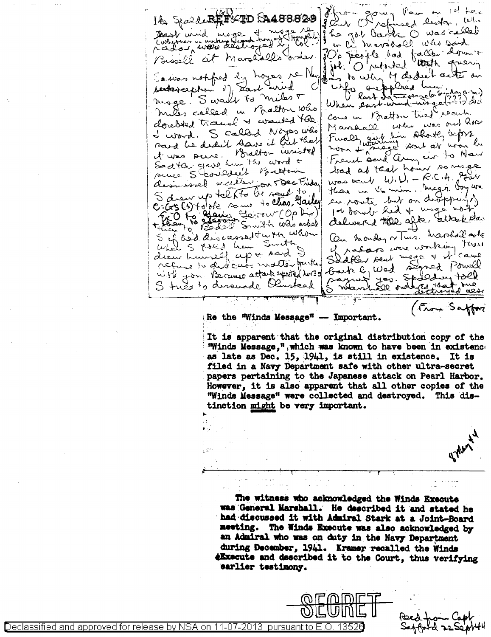Journal Pau m 1et the  $k_{\infty}$ Ile Spaulur Frou SA488829 he got back O was called Dear unid mage Fringed ( whether is working flowed trying ) in the marshall was said PC's people dod taller down Bissell at margarells Corder. hoyes re Nan My dedret actes on Sawas nothfred by and to when fo anapplees hum. Jar arud sectavaphin of mode! Swall to miles + When part wind wing (774) dec Ralton Who Come in Bratton tried recent mites called  $\overline{\mathbf{u}}$ doredred transl & wanted the when was out home Manhall. S called Noyes who Fually got him about infors d word. sand he deal save it but that noon + magic sout av noon be it was pure. Bralton invisted Sadta grave have the word + bad at that hour so mage succe Shoulded Batton was beach  $W, U = R.C.A.$  gives desirved weiller on 5 Dec Friday those in the min. Might boy we S drew up telfto be sayed to an route but on disposing C (x (s) to be some to clear, Harley 2509 Palain (20 pm (Op Dir) delivered the after altakeda. Florent 17 On hander or Tues, harolal aske and descourant when whom S of and description Sinth of radars were working Kar drew himself up + Aard Slapper sent moge y et came mille pour l'accuse mouse pour le mes autres de la poure de Pourelle refuse to did cuts matter futur S tries to dissuade Olivstead are that one Want Se odd (From Saffor

Re the "Winds Message" -- Important.

It is apparent that the original distribution copy of the "Winds Message," which was known to have been in existenc. as late as Dec. 15, 1941, is still in existence. It is filed in a Navy Department safe with other ultra-secret papers pertaining to the Japanese attack on Pearl Harbor. However, it is also apparent that all other copies of the "Winds Message" were collected and destroyed. This distinction might be very important.

The witness who acknowledged the Winds Execute was General Marshall. He described it and stated he had discussed it with Admiral Stark at a Joint-Board meeting. The Winds Execute was also acknowledged by an Admiral who was on duty in the Navy Department during December, 1941. Kramer recalled the Winds *eExecute and described it to the Court, thus verifying* earlier testimony.